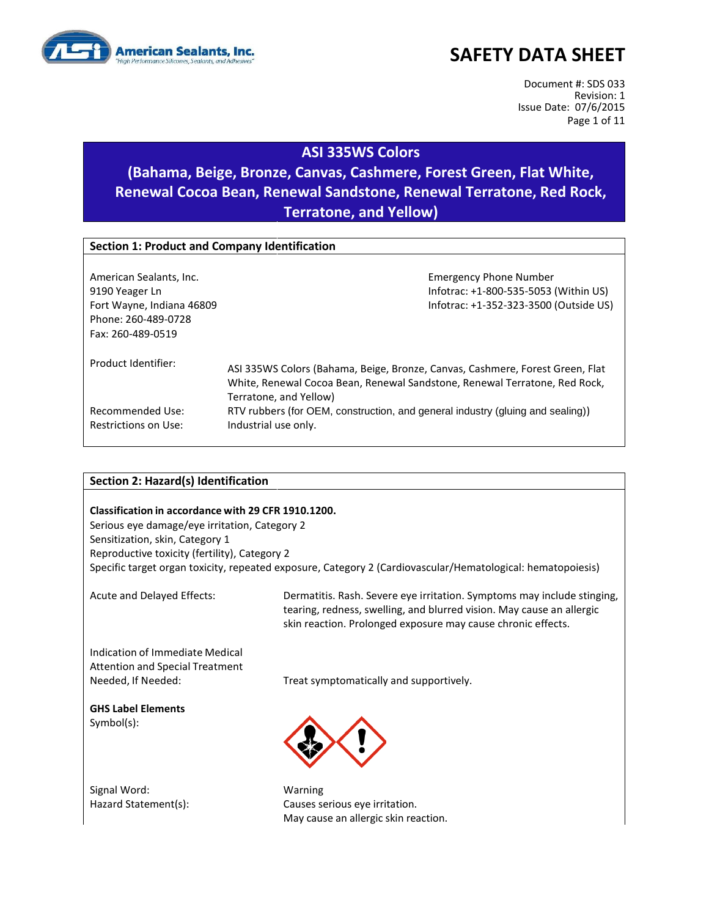

Document #: SDS 033 Revision: 1 Issue Date: 07/6/2015 Page 1 of 11

#### **ASI 335WS Colors**

## **(Bahama, Beige, Bronze, Canvas, Cashmere, Forest Green, Flat White, Renewal Cocoa Bean, Renewal Sandstone, Renewal Terratone, Red Rock, Terratone, and Yellow)**

| <b>Section 1: Product and Company Identification</b>                                                               |                                                                                                                                                                                                                                                                                                 |  |  |
|--------------------------------------------------------------------------------------------------------------------|-------------------------------------------------------------------------------------------------------------------------------------------------------------------------------------------------------------------------------------------------------------------------------------------------|--|--|
| American Sealants, Inc.<br>9190 Yeager Ln<br>Fort Wayne, Indiana 46809<br>Phone: 260-489-0728<br>Fax: 260-489-0519 | <b>Emergency Phone Number</b><br>Infotrac: +1-800-535-5053 (Within US)<br>Infotrac: +1-352-323-3500 (Outside US)                                                                                                                                                                                |  |  |
| Product Identifier:<br>Recommended Use:<br>Restrictions on Use:                                                    | ASI 335WS Colors (Bahama, Beige, Bronze, Canvas, Cashmere, Forest Green, Flat<br>White, Renewal Cocoa Bean, Renewal Sandstone, Renewal Terratone, Red Rock,<br>Terratone, and Yellow)<br>RTV rubbers (for OEM, construction, and general industry (gluing and sealing))<br>Industrial use only. |  |  |

#### **Section 2: Hazard(s) Identification**

#### **Classification in accordance with 29 CFR 1910.1200.**

Serious eye damage/eye irritation, Category 2 Sensitization, skin, Category 1 Reproductive toxicity (fertility), Category 2 Specific target organ toxicity, repeated exposure, Category 2 (Cardiovascular/Hematological: hematopoiesis)

Acute and Delayed Effects: Dermatitis. Rash. Severe eye irritation. Symptoms may include stinging, tearing, redness, swelling, and blurred vision. May cause an allergic skin reaction. Prolonged exposure may cause chronic effects.

Indication of Immediate Medical Attention and Special Treatment

Needed, If Needed: Treat symptomatically and supportively.

**GHS Label Elements** Symbol(s):

Signal Word: Warning

Hazard Statement(s): Causes serious eye irritation. May cause an allergic skin reaction.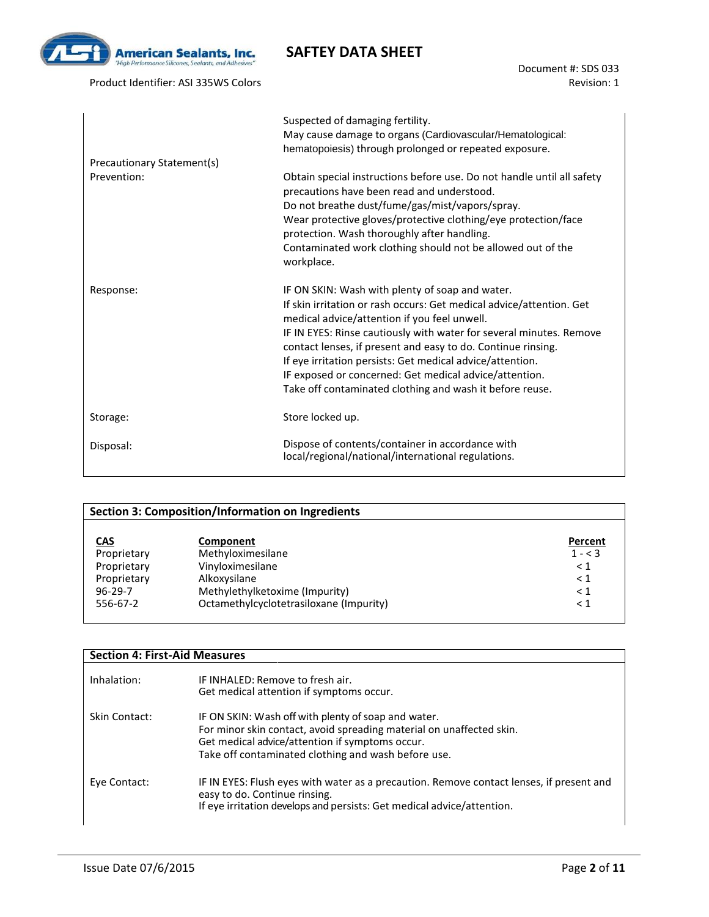

Product Identifier: ASI 335WS Colors

Document #: SDS 033 Revision: 1

|                            | Suspected of damaging fertility.<br>May cause damage to organs (Cardiovascular/Hematological:<br>hematopoiesis) through prolonged or repeated exposure.                                                                                                                                                                                                                                                                                                                                           |
|----------------------------|---------------------------------------------------------------------------------------------------------------------------------------------------------------------------------------------------------------------------------------------------------------------------------------------------------------------------------------------------------------------------------------------------------------------------------------------------------------------------------------------------|
| Precautionary Statement(s) |                                                                                                                                                                                                                                                                                                                                                                                                                                                                                                   |
| Prevention:                | Obtain special instructions before use. Do not handle until all safety<br>precautions have been read and understood.<br>Do not breathe dust/fume/gas/mist/vapors/spray.<br>Wear protective gloves/protective clothing/eye protection/face<br>protection. Wash thoroughly after handling.<br>Contaminated work clothing should not be allowed out of the<br>workplace.                                                                                                                             |
| Response:                  | IF ON SKIN: Wash with plenty of soap and water.<br>If skin irritation or rash occurs: Get medical advice/attention. Get<br>medical advice/attention if you feel unwell.<br>IF IN EYES: Rinse cautiously with water for several minutes. Remove<br>contact lenses, if present and easy to do. Continue rinsing.<br>If eye irritation persists: Get medical advice/attention.<br>IF exposed or concerned: Get medical advice/attention.<br>Take off contaminated clothing and wash it before reuse. |
| Storage:                   | Store locked up.                                                                                                                                                                                                                                                                                                                                                                                                                                                                                  |
| Disposal:                  | Dispose of contents/container in accordance with<br>local/regional/national/international regulations.                                                                                                                                                                                                                                                                                                                                                                                            |

|               | <b>Section 3: Composition/Information on Ingredients</b> |           |
|---------------|----------------------------------------------------------|-----------|
| <u>CAS</u>    | Component                                                | Percent   |
| Proprietary   | Methyloximesilane                                        | $1 - < 3$ |
| Proprietary   | Vinyloximesilane                                         | $\leq 1$  |
| Proprietary   | Alkoxysilane                                             | $\leq 1$  |
| $96 - 29 - 7$ | Methylethylketoxime (Impurity)                           | $\leq 1$  |
| 556-67-2      | Octamethylcyclotetrasiloxane (Impurity)                  | $\leq 1$  |

| <b>Section 4: First-Aid Measures</b> |                                                                                                                                                                                                                                       |
|--------------------------------------|---------------------------------------------------------------------------------------------------------------------------------------------------------------------------------------------------------------------------------------|
| Inhalation:                          | IF INHALED: Remove to fresh air.<br>Get medical attention if symptoms occur.                                                                                                                                                          |
| Skin Contact:                        | IF ON SKIN: Wash off with plenty of soap and water.<br>For minor skin contact, avoid spreading material on unaffected skin.<br>Get medical advice/attention if symptoms occur.<br>Take off contaminated clothing and wash before use. |
| Eye Contact:                         | IF IN EYES: Flush eyes with water as a precaution. Remove contact lenses, if present and<br>easy to do. Continue rinsing.<br>If eye irritation develops and persists: Get medical advice/attention.                                   |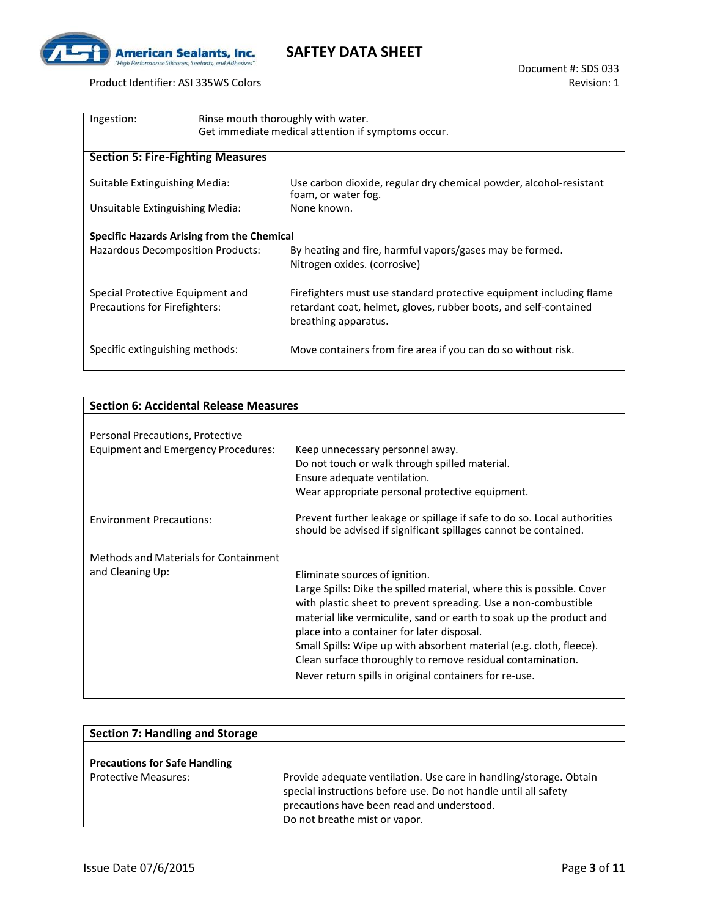

Product Identifier: ASI 335WS Colors

| Ingestion:                                                                      | Rinse mouth thoroughly with water.<br>Get immediate medical attention if symptoms occur.                                                                        |
|---------------------------------------------------------------------------------|-----------------------------------------------------------------------------------------------------------------------------------------------------------------|
| <b>Section 5: Fire-Fighting Measures</b>                                        |                                                                                                                                                                 |
| Suitable Extinguishing Media:                                                   | Use carbon dioxide, regular dry chemical powder, alcohol-resistant<br>foam, or water fog.                                                                       |
| Unsuitable Extinguishing Media:                                                 | None known.                                                                                                                                                     |
| Specific Hazards Arising from the Chemical<br>Hazardous Decomposition Products: | By heating and fire, harmful vapors/gases may be formed.<br>Nitrogen oxides. (corrosive)                                                                        |
| Special Protective Equipment and<br>Precautions for Firefighters:               | Firefighters must use standard protective equipment including flame<br>retardant coat, helmet, gloves, rubber boots, and self-contained<br>breathing apparatus. |
| Specific extinguishing methods:                                                 | Move containers from fire area if you can do so without risk.                                                                                                   |

| <b>Section 6: Accidental Release Measures</b> |                                                                                                                                            |  |
|-----------------------------------------------|--------------------------------------------------------------------------------------------------------------------------------------------|--|
|                                               |                                                                                                                                            |  |
| Personal Precautions, Protective              |                                                                                                                                            |  |
| <b>Equipment and Emergency Procedures:</b>    | Keep unnecessary personnel away.                                                                                                           |  |
|                                               | Do not touch or walk through spilled material.                                                                                             |  |
|                                               | Ensure adequate ventilation.                                                                                                               |  |
|                                               | Wear appropriate personal protective equipment.                                                                                            |  |
| <b>Environment Precautions:</b>               | Prevent further leakage or spillage if safe to do so. Local authorities<br>should be advised if significant spillages cannot be contained. |  |
| Methods and Materials for Containment         |                                                                                                                                            |  |
| and Cleaning Up:                              | Eliminate sources of ignition.                                                                                                             |  |
|                                               | Large Spills: Dike the spilled material, where this is possible. Cover                                                                     |  |
|                                               | with plastic sheet to prevent spreading. Use a non-combustible                                                                             |  |
|                                               | material like vermiculite, sand or earth to soak up the product and                                                                        |  |
|                                               | place into a container for later disposal.                                                                                                 |  |
|                                               | Small Spills: Wipe up with absorbent material (e.g. cloth, fleece).                                                                        |  |
|                                               | Clean surface thoroughly to remove residual contamination.                                                                                 |  |
|                                               | Never return spills in original containers for re-use.                                                                                     |  |

| <b>Section 7: Handling and Storage</b> |                                                                                                                                                                                                                      |
|----------------------------------------|----------------------------------------------------------------------------------------------------------------------------------------------------------------------------------------------------------------------|
| <b>Precautions for Safe Handling</b>   |                                                                                                                                                                                                                      |
| <b>Protective Measures:</b>            | Provide adequate ventilation. Use care in handling/storage. Obtain<br>special instructions before use. Do not handle until all safety<br>precautions have been read and understood.<br>Do not breathe mist or vapor. |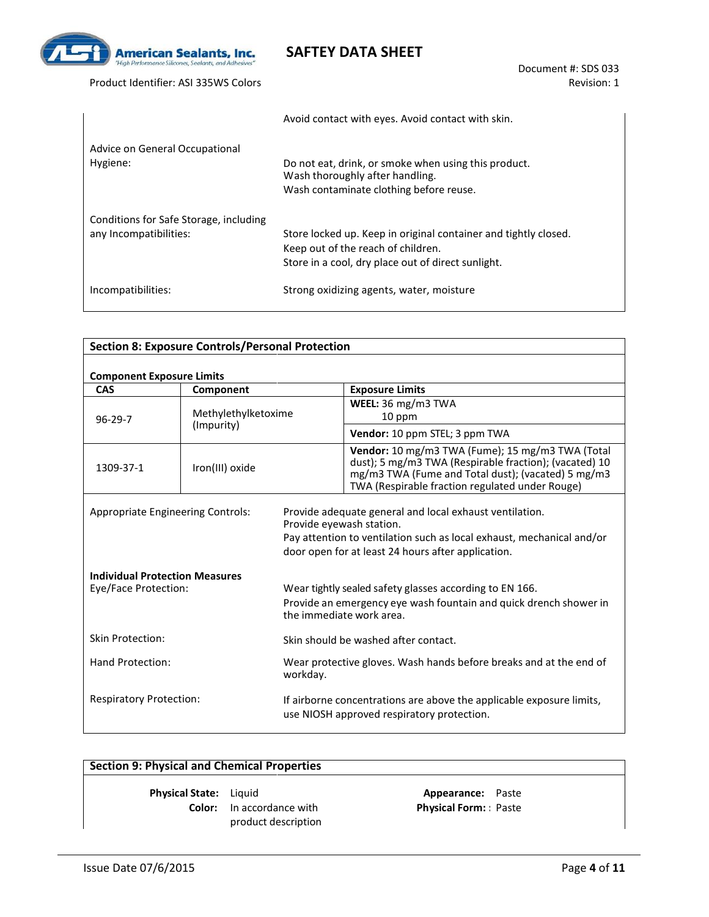

Product Identifier: ASI 335WS Colors

|                                                                  | Avoid contact with eyes. Avoid contact with skin.                                                                                                |
|------------------------------------------------------------------|--------------------------------------------------------------------------------------------------------------------------------------------------|
| Advice on General Occupational<br>Hygiene:                       | Do not eat, drink, or smoke when using this product.<br>Wash thoroughly after handling.                                                          |
| Conditions for Safe Storage, including<br>any Incompatibilities: | Wash contaminate clothing before reuse.<br>Store locked up. Keep in original container and tightly closed.<br>Keep out of the reach of children. |
| Incompatibilities:                                               | Store in a cool, dry place out of direct sunlight.<br>Strong oxidizing agents, water, moisture                                                   |

| <b>Section 8: Exposure Controls/Personal Protection</b>                               |                     |                                                                                                                                                                                                                     |  |  |
|---------------------------------------------------------------------------------------|---------------------|---------------------------------------------------------------------------------------------------------------------------------------------------------------------------------------------------------------------|--|--|
|                                                                                       |                     |                                                                                                                                                                                                                     |  |  |
| <b>Component Exposure Limits</b><br><b>CAS</b><br><b>Exposure Limits</b><br>Component |                     |                                                                                                                                                                                                                     |  |  |
| $96 - 29 - 7$                                                                         | Methylethylketoxime | WEEL: $36 \text{ mg/m}3 \text{ TWA}$<br>10 ppm                                                                                                                                                                      |  |  |
|                                                                                       | (Impurity)          | Vendor: 10 ppm STEL; 3 ppm TWA                                                                                                                                                                                      |  |  |
| 1309-37-1                                                                             | Iron(III) oxide     | Vendor: 10 mg/m3 TWA (Fume); 15 mg/m3 TWA (Total<br>dust); 5 mg/m3 TWA (Respirable fraction); (vacated) 10<br>mg/m3 TWA (Fume and Total dust); (vacated) 5 mg/m3<br>TWA (Respirable fraction regulated under Rouge) |  |  |
| <b>Appropriate Engineering Controls:</b>                                              |                     | Provide adequate general and local exhaust ventilation.<br>Provide eyewash station.<br>Pay attention to ventilation such as local exhaust, mechanical and/or<br>door open for at least 24 hours after application.  |  |  |
| <b>Individual Protection Measures</b><br>Eye/Face Protection:                         |                     | Wear tightly sealed safety glasses according to EN 166.<br>Provide an emergency eye wash fountain and quick drench shower in<br>the immediate work area.                                                            |  |  |
| Skin Protection:                                                                      |                     | Skin should be washed after contact.                                                                                                                                                                                |  |  |
| Hand Protection:<br>workday.                                                          |                     | Wear protective gloves. Wash hands before breaks and at the end of                                                                                                                                                  |  |  |
| <b>Respiratory Protection:</b>                                                        |                     | If airborne concentrations are above the applicable exposure limits,<br>use NIOSH approved respiratory protection.                                                                                                  |  |  |

#### **Section 9: Physical and Chemical Properties**

**Physical State:** Liquid **Appearance:** Paste **Color:** In accordance with product description

**Physical Form: :** Paste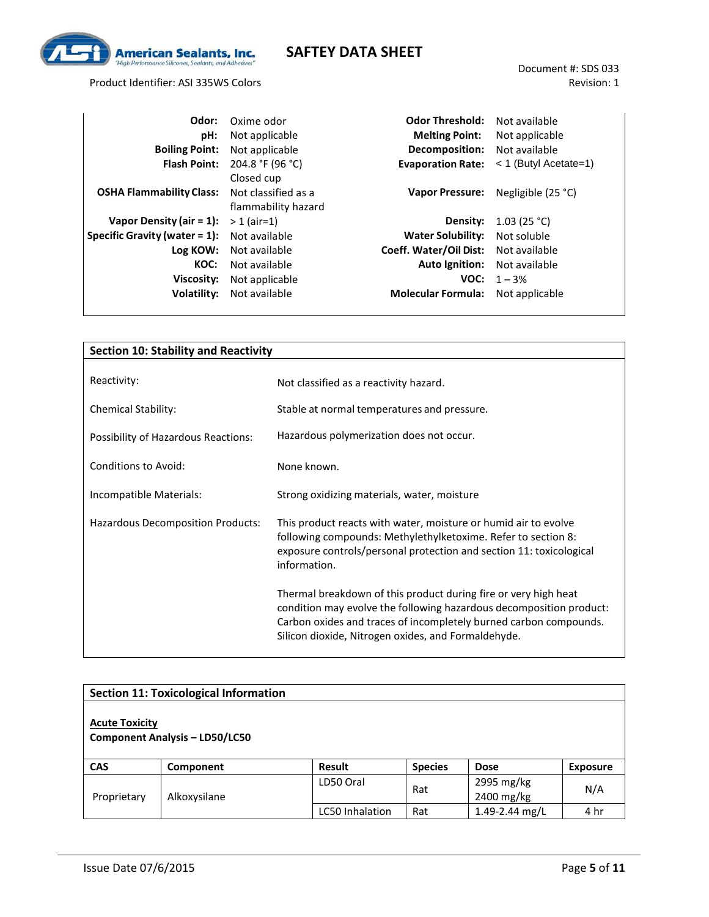

Product Identifier: ASI 335WS Colors

| Odor:                            | Oxime odor          | <b>Odor Threshold:</b>    | Not available           |
|----------------------------------|---------------------|---------------------------|-------------------------|
| pH:                              | Not applicable      | <b>Melting Point:</b>     | Not applicable          |
| <b>Boiling Point:</b>            | Not applicable      | Decomposition:            | Not available           |
| <b>Flash Point:</b>              | 204.8 °F (96 °C)    | <b>Evaporation Rate:</b>  | $<$ 1 (Butyl Acetate=1) |
|                                  | Closed cup          |                           |                         |
| <b>OSHA Flammability Class:</b>  | Not classified as a | <b>Vapor Pressure:</b>    | Negligible $(25 °C)$    |
|                                  | flammability hazard |                           |                         |
| Vapor Density (air $= 1$ ):      | $> 1$ (air=1)       | Density:                  | 1.03 (25 °C)            |
| Specific Gravity (water $= 1$ ): | Not available       | <b>Water Solubility:</b>  | Not soluble             |
| Log KOW:                         | Not available       | Coeff. Water/Oil Dist:    | Not available           |
| KOC:                             | Not available       | Auto Ignition:            | Not available           |
| Viscosity:                       | Not applicable      | VOC:                      | $1 - 3%$                |
| Volatility:                      | Not available       | <b>Molecular Formula:</b> | Not applicable          |

| <b>Section 10: Stability and Reactivity</b> |                                                                                                                                                                                                                                                                    |  |  |
|---------------------------------------------|--------------------------------------------------------------------------------------------------------------------------------------------------------------------------------------------------------------------------------------------------------------------|--|--|
|                                             |                                                                                                                                                                                                                                                                    |  |  |
| Reactivity:                                 | Not classified as a reactivity hazard.                                                                                                                                                                                                                             |  |  |
| <b>Chemical Stability:</b>                  | Stable at normal temperatures and pressure.                                                                                                                                                                                                                        |  |  |
| Possibility of Hazardous Reactions:         | Hazardous polymerization does not occur.                                                                                                                                                                                                                           |  |  |
| <b>Conditions to Avoid:</b>                 | None known.                                                                                                                                                                                                                                                        |  |  |
| Incompatible Materials:                     | Strong oxidizing materials, water, moisture                                                                                                                                                                                                                        |  |  |
| Hazardous Decomposition Products:           | This product reacts with water, moisture or humid air to evolve<br>following compounds: Methylethylketoxime. Refer to section 8:<br>exposure controls/personal protection and section 11: toxicological<br>information.                                            |  |  |
|                                             | Thermal breakdown of this product during fire or very high heat<br>condition may evolve the following hazardous decomposition product:<br>Carbon oxides and traces of incompletely burned carbon compounds.<br>Silicon dioxide, Nitrogen oxides, and Formaldehyde. |  |  |

| <b>Section 11: Toxicological Information</b>                   |              |                        |                |                          |                 |
|----------------------------------------------------------------|--------------|------------------------|----------------|--------------------------|-----------------|
| <b>Acute Toxicity</b><br><b>Component Analysis - LD50/LC50</b> |              |                        |                |                          |                 |
| <b>CAS</b>                                                     | Component    | <b>Result</b>          | <b>Species</b> | <b>Dose</b>              | <b>Exposure</b> |
| Proprietary                                                    | Alkoxysilane | LD50 Oral              | Rat            | 2995 mg/kg<br>2400 mg/kg | N/A             |
|                                                                |              | <b>LC50 Inhalation</b> | Rat            | 1.49-2.44 mg/L           | 4 hr            |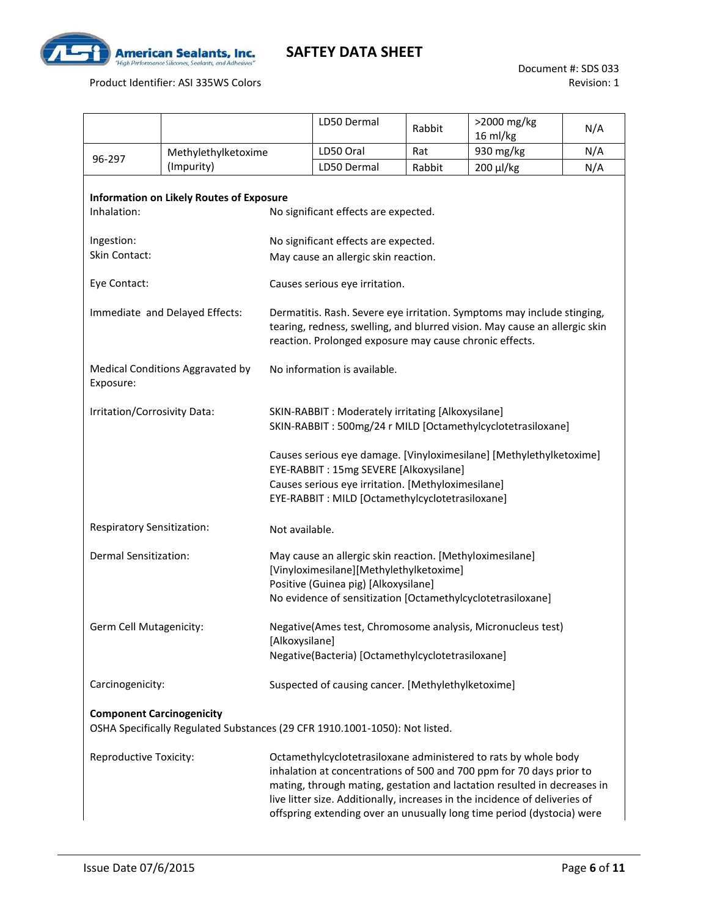

Product Identifier: ASI 335WS Colors

|                                                                                                                                                                                                                        |                                                                             |  | LD50 Dermal                                                                                                                                                                                                      | Rabbit | >2000 mg/kg<br>16 ml/kg                                                                                                                                                                                                                                                                                                                                                      | N/A |  |  |  |  |
|------------------------------------------------------------------------------------------------------------------------------------------------------------------------------------------------------------------------|-----------------------------------------------------------------------------|--|------------------------------------------------------------------------------------------------------------------------------------------------------------------------------------------------------------------|--------|------------------------------------------------------------------------------------------------------------------------------------------------------------------------------------------------------------------------------------------------------------------------------------------------------------------------------------------------------------------------------|-----|--|--|--|--|
|                                                                                                                                                                                                                        | Methylethylketoxime                                                         |  | LD50 Oral                                                                                                                                                                                                        | Rat    | 930 mg/kg                                                                                                                                                                                                                                                                                                                                                                    | N/A |  |  |  |  |
| 96-297                                                                                                                                                                                                                 | (Impurity)                                                                  |  | LD50 Dermal                                                                                                                                                                                                      | Rabbit | 200 µl/kg                                                                                                                                                                                                                                                                                                                                                                    | N/A |  |  |  |  |
| Inhalation:                                                                                                                                                                                                            | <b>Information on Likely Routes of Exposure</b>                             |  | No significant effects are expected.                                                                                                                                                                             |        |                                                                                                                                                                                                                                                                                                                                                                              |     |  |  |  |  |
| Ingestion:                                                                                                                                                                                                             |                                                                             |  | No significant effects are expected.                                                                                                                                                                             |        |                                                                                                                                                                                                                                                                                                                                                                              |     |  |  |  |  |
| Skin Contact:                                                                                                                                                                                                          |                                                                             |  | May cause an allergic skin reaction.                                                                                                                                                                             |        |                                                                                                                                                                                                                                                                                                                                                                              |     |  |  |  |  |
| Eye Contact:                                                                                                                                                                                                           |                                                                             |  | Causes serious eye irritation.                                                                                                                                                                                   |        |                                                                                                                                                                                                                                                                                                                                                                              |     |  |  |  |  |
| Immediate and Delayed Effects:                                                                                                                                                                                         |                                                                             |  | Dermatitis. Rash. Severe eye irritation. Symptoms may include stinging,<br>tearing, redness, swelling, and blurred vision. May cause an allergic skin<br>reaction. Prolonged exposure may cause chronic effects. |        |                                                                                                                                                                                                                                                                                                                                                                              |     |  |  |  |  |
| Exposure:                                                                                                                                                                                                              | Medical Conditions Aggravated by                                            |  | No information is available.                                                                                                                                                                                     |        |                                                                                                                                                                                                                                                                                                                                                                              |     |  |  |  |  |
| Irritation/Corrosivity Data:                                                                                                                                                                                           |                                                                             |  | SKIN-RABBIT : Moderately irritating [Alkoxysilane]<br>SKIN-RABBIT: 500mg/24 r MILD [Octamethylcyclotetrasiloxane]                                                                                                |        |                                                                                                                                                                                                                                                                                                                                                                              |     |  |  |  |  |
| Causes serious eye damage. [Vinyloximesilane] [Methylethylketoxime]<br>EYE-RABBIT: 15mg SEVERE [Alkoxysilane]<br>Causes serious eye irritation. [Methyloximesilane]<br>EYE-RABBIT: MILD [Octamethylcyclotetrasiloxane] |                                                                             |  |                                                                                                                                                                                                                  |        |                                                                                                                                                                                                                                                                                                                                                                              |     |  |  |  |  |
| Respiratory Sensitization:<br>Not available.                                                                                                                                                                           |                                                                             |  |                                                                                                                                                                                                                  |        |                                                                                                                                                                                                                                                                                                                                                                              |     |  |  |  |  |
| <b>Dermal Sensitization:</b>                                                                                                                                                                                           |                                                                             |  | May cause an allergic skin reaction. [Methyloximesilane]<br>[Vinyloximesilane][Methylethylketoxime]<br>Positive (Guinea pig) [Alkoxysilane]<br>No evidence of sensitization [Octamethylcyclotetrasiloxane]       |        |                                                                                                                                                                                                                                                                                                                                                                              |     |  |  |  |  |
| Germ Cell Mutagenicity:                                                                                                                                                                                                |                                                                             |  | Negative(Ames test, Chromosome analysis, Micronucleus test)<br>[Alkoxysilane]                                                                                                                                    |        |                                                                                                                                                                                                                                                                                                                                                                              |     |  |  |  |  |
|                                                                                                                                                                                                                        |                                                                             |  | Negative(Bacteria) [Octamethylcyclotetrasiloxane]                                                                                                                                                                |        |                                                                                                                                                                                                                                                                                                                                                                              |     |  |  |  |  |
| Carcinogenicity:                                                                                                                                                                                                       |                                                                             |  | Suspected of causing cancer. [Methylethylketoxime]                                                                                                                                                               |        |                                                                                                                                                                                                                                                                                                                                                                              |     |  |  |  |  |
| <b>Component Carcinogenicity</b>                                                                                                                                                                                       | OSHA Specifically Regulated Substances (29 CFR 1910.1001-1050): Not listed. |  |                                                                                                                                                                                                                  |        |                                                                                                                                                                                                                                                                                                                                                                              |     |  |  |  |  |
| Reproductive Toxicity:                                                                                                                                                                                                 |                                                                             |  |                                                                                                                                                                                                                  |        | Octamethylcyclotetrasiloxane administered to rats by whole body<br>inhalation at concentrations of 500 and 700 ppm for 70 days prior to<br>mating, through mating, gestation and lactation resulted in decreases in<br>live litter size. Additionally, increases in the incidence of deliveries of<br>offspring extending over an unusually long time period (dystocia) were |     |  |  |  |  |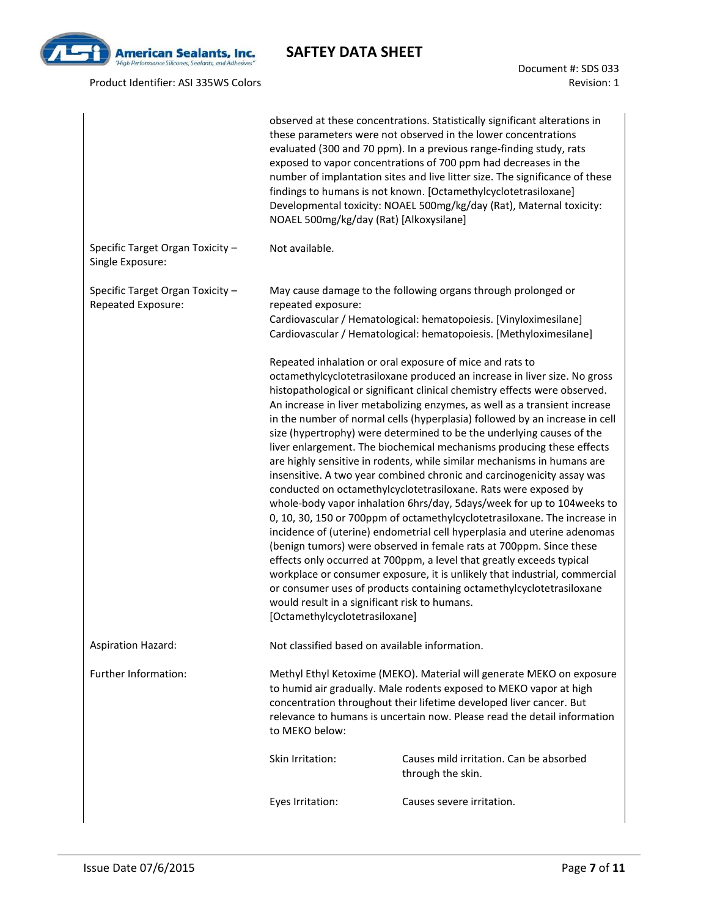

#### Product Identifier: ASI 335WS Colors

Document #: SDS 033 Revision: 1

|                                                        | observed at these concentrations. Statistically significant alterations in<br>these parameters were not observed in the lower concentrations<br>evaluated (300 and 70 ppm). In a previous range-finding study, rats<br>exposed to vapor concentrations of 700 ppm had decreases in the<br>number of implantation sites and live litter size. The significance of these<br>findings to humans is not known. [Octamethylcyclotetrasiloxane]<br>Developmental toxicity: NOAEL 500mg/kg/day (Rat), Maternal toxicity:<br>NOAEL 500mg/kg/day (Rat) [Alkoxysilane] |                                                                                                                                                                                                                                                                                                                                                                                                                                                                                                                                                                                                                                                                                                                                                                                                                                                                                                                                                                                                                                                                                                                                                                                                                                                                                                      |  |  |  |  |
|--------------------------------------------------------|--------------------------------------------------------------------------------------------------------------------------------------------------------------------------------------------------------------------------------------------------------------------------------------------------------------------------------------------------------------------------------------------------------------------------------------------------------------------------------------------------------------------------------------------------------------|------------------------------------------------------------------------------------------------------------------------------------------------------------------------------------------------------------------------------------------------------------------------------------------------------------------------------------------------------------------------------------------------------------------------------------------------------------------------------------------------------------------------------------------------------------------------------------------------------------------------------------------------------------------------------------------------------------------------------------------------------------------------------------------------------------------------------------------------------------------------------------------------------------------------------------------------------------------------------------------------------------------------------------------------------------------------------------------------------------------------------------------------------------------------------------------------------------------------------------------------------------------------------------------------------|--|--|--|--|
| Specific Target Organ Toxicity -<br>Single Exposure:   | Not available.                                                                                                                                                                                                                                                                                                                                                                                                                                                                                                                                               |                                                                                                                                                                                                                                                                                                                                                                                                                                                                                                                                                                                                                                                                                                                                                                                                                                                                                                                                                                                                                                                                                                                                                                                                                                                                                                      |  |  |  |  |
| Specific Target Organ Toxicity -<br>Repeated Exposure: | May cause damage to the following organs through prolonged or<br>repeated exposure:<br>Cardiovascular / Hematological: hematopoiesis. [Vinyloximesilane]<br>Cardiovascular / Hematological: hematopoiesis. [Methyloximesilane]                                                                                                                                                                                                                                                                                                                               |                                                                                                                                                                                                                                                                                                                                                                                                                                                                                                                                                                                                                                                                                                                                                                                                                                                                                                                                                                                                                                                                                                                                                                                                                                                                                                      |  |  |  |  |
|                                                        | would result in a significant risk to humans.<br>[Octamethylcyclotetrasiloxane]                                                                                                                                                                                                                                                                                                                                                                                                                                                                              | Repeated inhalation or oral exposure of mice and rats to<br>octamethylcyclotetrasiloxane produced an increase in liver size. No gross<br>histopathological or significant clinical chemistry effects were observed.<br>An increase in liver metabolizing enzymes, as well as a transient increase<br>in the number of normal cells (hyperplasia) followed by an increase in cell<br>size (hypertrophy) were determined to be the underlying causes of the<br>liver enlargement. The biochemical mechanisms producing these effects<br>are highly sensitive in rodents, while similar mechanisms in humans are<br>insensitive. A two year combined chronic and carcinogenicity assay was<br>conducted on octamethylcyclotetrasiloxane. Rats were exposed by<br>whole-body vapor inhalation 6hrs/day, 5days/week for up to 104 weeks to<br>0, 10, 30, 150 or 700ppm of octamethylcyclotetrasiloxane. The increase in<br>incidence of (uterine) endometrial cell hyperplasia and uterine adenomas<br>(benign tumors) were observed in female rats at 700ppm. Since these<br>effects only occurred at 700ppm, a level that greatly exceeds typical<br>workplace or consumer exposure, it is unlikely that industrial, commercial<br>or consumer uses of products containing octamethylcyclotetrasiloxane |  |  |  |  |
| Aspiration Hazard:                                     | Not classified based on available information.                                                                                                                                                                                                                                                                                                                                                                                                                                                                                                               |                                                                                                                                                                                                                                                                                                                                                                                                                                                                                                                                                                                                                                                                                                                                                                                                                                                                                                                                                                                                                                                                                                                                                                                                                                                                                                      |  |  |  |  |
| Further Information:                                   | to MEKO below:                                                                                                                                                                                                                                                                                                                                                                                                                                                                                                                                               | Methyl Ethyl Ketoxime (MEKO). Material will generate MEKO on exposure<br>to humid air gradually. Male rodents exposed to MEKO vapor at high<br>concentration throughout their lifetime developed liver cancer. But<br>relevance to humans is uncertain now. Please read the detail information                                                                                                                                                                                                                                                                                                                                                                                                                                                                                                                                                                                                                                                                                                                                                                                                                                                                                                                                                                                                       |  |  |  |  |
|                                                        | Skin Irritation:                                                                                                                                                                                                                                                                                                                                                                                                                                                                                                                                             | Causes mild irritation. Can be absorbed<br>through the skin.                                                                                                                                                                                                                                                                                                                                                                                                                                                                                                                                                                                                                                                                                                                                                                                                                                                                                                                                                                                                                                                                                                                                                                                                                                         |  |  |  |  |
|                                                        | Eyes Irritation:                                                                                                                                                                                                                                                                                                                                                                                                                                                                                                                                             | Causes severe irritation.                                                                                                                                                                                                                                                                                                                                                                                                                                                                                                                                                                                                                                                                                                                                                                                                                                                                                                                                                                                                                                                                                                                                                                                                                                                                            |  |  |  |  |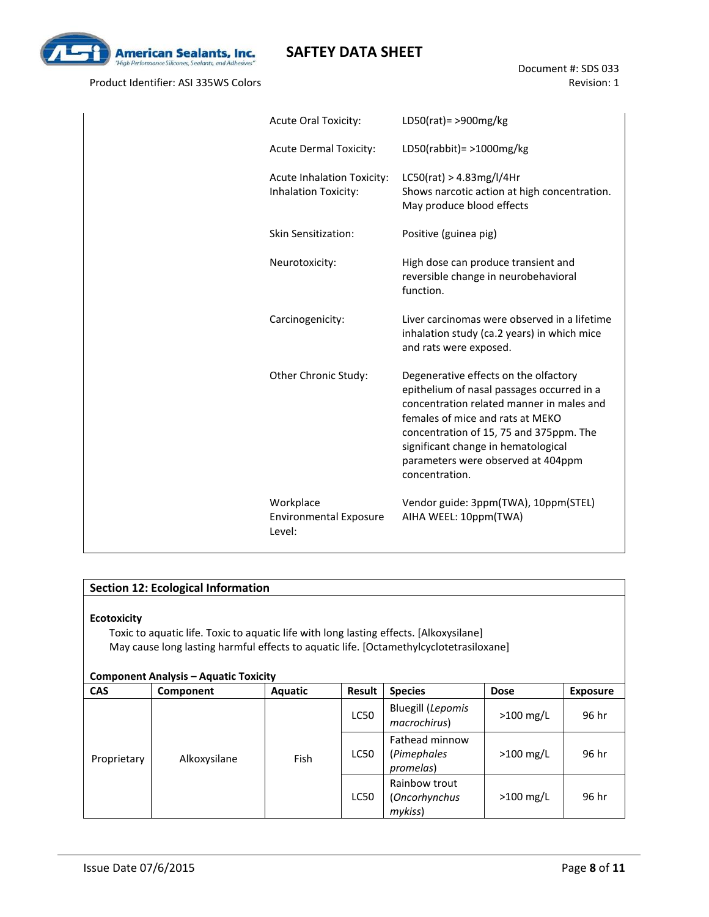

Product Identifier: ASI 335WS Colors

| <b>Acute Oral Toxicity:</b>                                      | LD50(rat) = $>900$ mg/kg                                                                                                                                                                                                                                                                                       |
|------------------------------------------------------------------|----------------------------------------------------------------------------------------------------------------------------------------------------------------------------------------------------------------------------------------------------------------------------------------------------------------|
| <b>Acute Dermal Toxicity:</b>                                    | LD50(rabbit) = $>1000$ mg/kg                                                                                                                                                                                                                                                                                   |
| <b>Acute Inhalation Toxicity:</b><br><b>Inhalation Toxicity:</b> | LC50(rat) > 4.83mg/l/4Hr<br>Shows narcotic action at high concentration.<br>May produce blood effects                                                                                                                                                                                                          |
| <b>Skin Sensitization:</b>                                       | Positive (guinea pig)                                                                                                                                                                                                                                                                                          |
| Neurotoxicity:                                                   | High dose can produce transient and<br>reversible change in neurobehavioral<br>function.                                                                                                                                                                                                                       |
| Carcinogenicity:                                                 | Liver carcinomas were observed in a lifetime<br>inhalation study (ca.2 years) in which mice<br>and rats were exposed.                                                                                                                                                                                          |
| Other Chronic Study:                                             | Degenerative effects on the olfactory<br>epithelium of nasal passages occurred in a<br>concentration related manner in males and<br>females of mice and rats at MEKO<br>concentration of 15, 75 and 375ppm. The<br>significant change in hematological<br>parameters were observed at 404ppm<br>concentration. |
| Workplace<br><b>Environmental Exposure</b><br>Level:             | Vendor guide: 3ppm(TWA), 10ppm(STEL)<br>AIHA WEEL: 10ppm(TWA)                                                                                                                                                                                                                                                  |

#### **Section 12: Ecological Information**

#### **Ecotoxicity**

Toxic to aquatic life. Toxic to aquatic life with long lasting effects. [Alkoxysilane] May cause long lasting harmful effects to aquatic life. [Octamethylcyclotetrasiloxane]

| <b>Component Analysis - Aquatic Toxicity</b> |              |                |             |                                            |             |                 |  |
|----------------------------------------------|--------------|----------------|-------------|--------------------------------------------|-------------|-----------------|--|
| <b>CAS</b>                                   | Component    | <b>Aquatic</b> | Result      | <b>Species</b>                             | <b>Dose</b> | <b>Exposure</b> |  |
|                                              |              |                | <b>LC50</b> | <b>Bluegill (Lepomis</b><br>macrochirus)   | $>100$ mg/L | 96 hr           |  |
| Proprietary                                  | Alkoxysilane | Fish           | <b>LC50</b> | Fathead minnow<br>(Pimephales<br>promelas) | $>100$ mg/L | 96 hr           |  |
|                                              |              |                | <b>LC50</b> | Rainbow trout<br>(Oncorhynchus<br>mykiss)  | $>100$ mg/L | 96 hr           |  |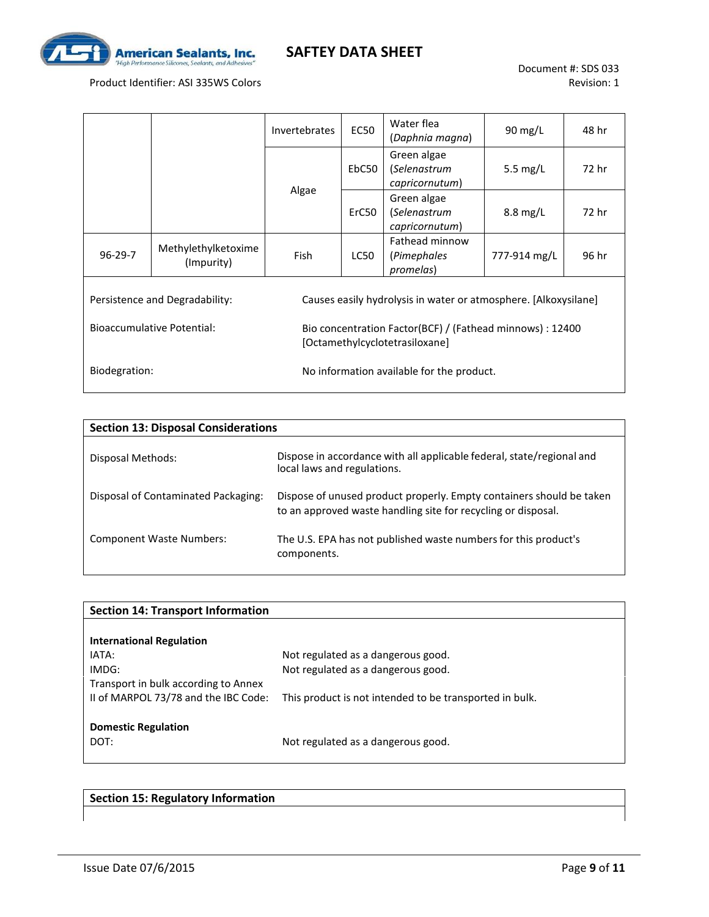

#### Product Identifier: ASI 335WS Colors

|                                   |                                   | Invertebrates | Water flea<br><b>EC50</b><br>(Daphnia magna)                                                |                                               | $90 \text{ mg/L}$  | 48 hr |  |
|-----------------------------------|-----------------------------------|---------------|---------------------------------------------------------------------------------------------|-----------------------------------------------|--------------------|-------|--|
|                                   |                                   |               | EbC50                                                                                       | Green algae<br>(Selenastrum<br>capricornutum) | 5.5 $mg/L$         | 72 hr |  |
|                                   |                                   | Algae         | ErC50                                                                                       | Green algae<br>(Selenastrum<br>capricornutum) | $8.8 \text{ mg/L}$ | 72 hr |  |
| $96 - 29 - 7$                     | Methylethylketoxime<br>(Impurity) | <b>Fish</b>   | LC50                                                                                        | Fathead minnow<br>(Pimephales<br>promelas)    | 777-914 mg/L       | 96 hr |  |
| Persistence and Degradability:    |                                   |               | Causes easily hydrolysis in water or atmosphere. [Alkoxysilane]                             |                                               |                    |       |  |
| <b>Bioaccumulative Potential:</b> |                                   |               | Bio concentration Factor(BCF) / (Fathead minnows) : 12400<br>[Octamethylcyclotetrasiloxane] |                                               |                    |       |  |
| Biodegration:                     |                                   |               | No information available for the product.                                                   |                                               |                    |       |  |

| <b>Section 13: Disposal Considerations</b> |                                                                                                                                       |  |  |  |  |  |  |  |
|--------------------------------------------|---------------------------------------------------------------------------------------------------------------------------------------|--|--|--|--|--|--|--|
| Disposal Methods:                          | Dispose in accordance with all applicable federal, state/regional and<br>local laws and regulations.                                  |  |  |  |  |  |  |  |
| Disposal of Contaminated Packaging:        | Dispose of unused product properly. Empty containers should be taken<br>to an approved waste handling site for recycling or disposal. |  |  |  |  |  |  |  |
| <b>Component Waste Numbers:</b>            | The U.S. EPA has not published waste numbers for this product's<br>components.                                                        |  |  |  |  |  |  |  |

| <b>Section 14: Transport Information</b> |                                                         |  |  |  |  |
|------------------------------------------|---------------------------------------------------------|--|--|--|--|
|                                          |                                                         |  |  |  |  |
| <b>International Regulation</b>          |                                                         |  |  |  |  |
| IATA:                                    | Not regulated as a dangerous good.                      |  |  |  |  |
| IMDG:                                    | Not regulated as a dangerous good.                      |  |  |  |  |
| Transport in bulk according to Annex     |                                                         |  |  |  |  |
| II of MARPOL 73/78 and the IBC Code:     | This product is not intended to be transported in bulk. |  |  |  |  |
|                                          |                                                         |  |  |  |  |
| <b>Domestic Regulation</b>               |                                                         |  |  |  |  |
| DOT:                                     | Not regulated as a dangerous good.                      |  |  |  |  |
|                                          |                                                         |  |  |  |  |

**Section 15: Regulatory Information**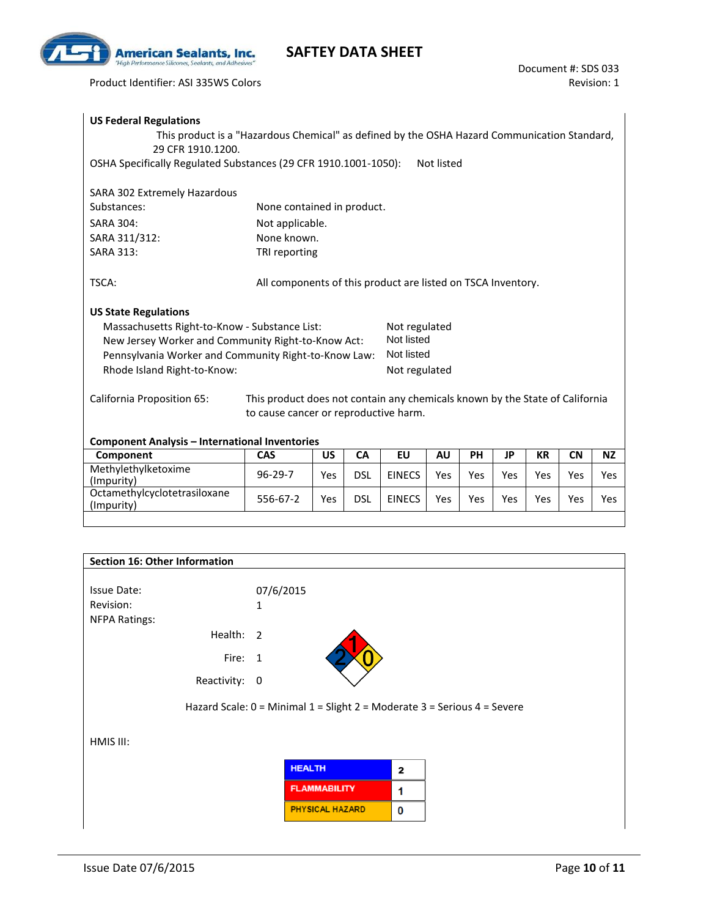

Product Identifier: ASI 335WS Colors

| <b>US Federal Regulations</b><br>This product is a "Hazardous Chemical" as defined by the OSHA Hazard Communication Standard,<br>29 CFR 1910.1200.<br>OSHA Specifically Regulated Substances (29 CFR 1910.1001-1050): |                                                              |     |            |                             | Not listed |           |           |           |           |            |
|-----------------------------------------------------------------------------------------------------------------------------------------------------------------------------------------------------------------------|--------------------------------------------------------------|-----|------------|-----------------------------|------------|-----------|-----------|-----------|-----------|------------|
| SARA 302 Extremely Hazardous                                                                                                                                                                                          |                                                              |     |            |                             |            |           |           |           |           |            |
| Substances:                                                                                                                                                                                                           | None contained in product.                                   |     |            |                             |            |           |           |           |           |            |
| <b>SARA 304:</b>                                                                                                                                                                                                      | Not applicable.                                              |     |            |                             |            |           |           |           |           |            |
| SARA 311/312:                                                                                                                                                                                                         | None known.                                                  |     |            |                             |            |           |           |           |           |            |
| <b>SARA 313:</b>                                                                                                                                                                                                      | TRI reporting                                                |     |            |                             |            |           |           |           |           |            |
| TSCA:<br><b>US State Regulations</b><br>Massachusetts Right-to-Know - Substance List:<br>New Jersey Worker and Community Right-to-Know Act:                                                                           | All components of this product are listed on TSCA Inventory. |     |            | Not regulated<br>Not listed |            |           |           |           |           |            |
| Pennsylvania Worker and Community Right-to-Know Law:<br>Rhode Island Right-to-Know:                                                                                                                                   |                                                              |     |            | Not listed<br>Not regulated |            |           |           |           |           |            |
| California Proposition 65:<br>This product does not contain any chemicals known by the State of California<br>to cause cancer or reproductive harm.                                                                   |                                                              |     |            |                             |            |           |           |           |           |            |
| <b>Component Analysis - International Inventories</b>                                                                                                                                                                 |                                                              |     |            |                             |            |           |           |           |           |            |
| Component                                                                                                                                                                                                             | <b>CAS</b>                                                   | US  | <b>CA</b>  | <b>EU</b>                   | <b>AU</b>  | <b>PH</b> | <b>JP</b> | <b>KR</b> | <b>CN</b> | <b>NZ</b>  |
| Methylethylketoxime<br>(Impurity)                                                                                                                                                                                     | $96 - 29 - 7$                                                | Yes | <b>DSL</b> | <b>EINECS</b>               | Yes        | Yes       | Yes       | Yes       | Yes       | <b>Yes</b> |
| Octamethylcyclotetrasiloxane<br>(Impurity)                                                                                                                                                                            | 556-67-2                                                     | Yes | <b>DSL</b> | <b>EINECS</b>               | Yes        | Yes       | Yes       | Yes       | Yes       | Yes        |

| <b>Section 16: Other Information</b> |                                                                          |   |  |
|--------------------------------------|--------------------------------------------------------------------------|---|--|
| Issue Date:                          | 07/6/2015                                                                |   |  |
| Revision:<br><b>NFPA Ratings:</b>    | 1                                                                        |   |  |
| Health: 2                            |                                                                          |   |  |
| Fire: 1                              |                                                                          |   |  |
| Reactivity: 0                        |                                                                          |   |  |
|                                      | Hazard Scale: 0 = Minimal 1 = Slight 2 = Moderate 3 = Serious 4 = Severe |   |  |
| HMIS III:                            |                                                                          |   |  |
|                                      | <b>HEALTH</b>                                                            | 2 |  |
|                                      | <b>FLAMMABILITY</b>                                                      | 1 |  |
|                                      | <b>PHYSICAL HAZARD</b>                                                   | 0 |  |